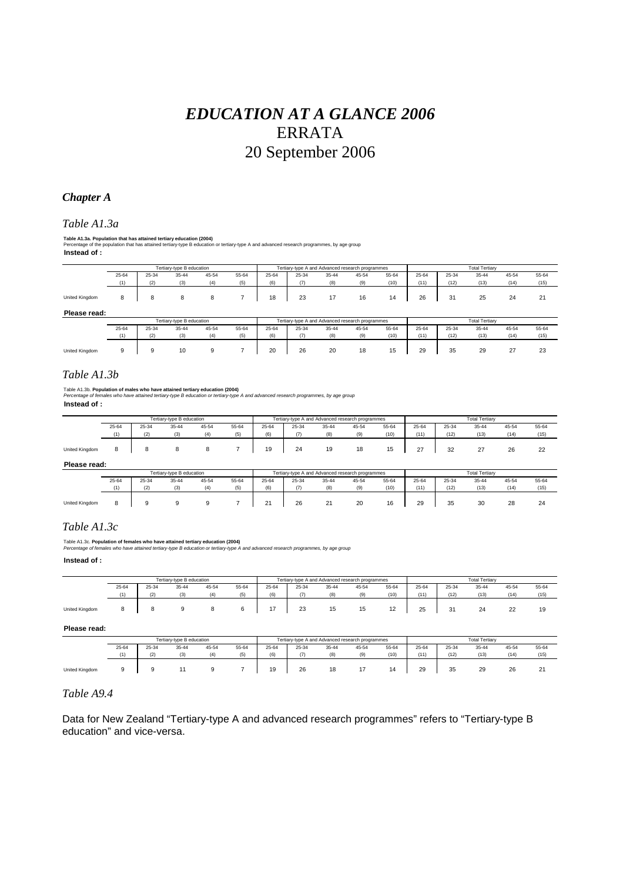# *EDUCATION AT A GLANCE 2006*  ERRATA 20 September 2006

## *Chapter A*

#### *Table A1.3a*

**Instead of : Table A1.3a. Population that has attained tertiary education (2004)**<br>Percentage of the population that has attained tertiary-type B education or tertiary-type A and advanced research programmes, by age group

|                       |       |       | Tertiary-type B education |       |       |       |                                                  | Tertiary-type A and Advanced research programmes |       |       | <b>Total Tertiarv</b> |                       |       |       |       |  |
|-----------------------|-------|-------|---------------------------|-------|-------|-------|--------------------------------------------------|--------------------------------------------------|-------|-------|-----------------------|-----------------------|-------|-------|-------|--|
|                       |       |       |                           |       |       |       |                                                  |                                                  |       |       |                       |                       |       |       |       |  |
|                       | 25-64 | 25-34 | 35-44                     | 45-54 | 55-64 | 25-64 | 25-34                                            | 35-44                                            | 45-54 | 55-64 | 25-64                 | 25-34                 | 35-44 | 45-54 | 55-64 |  |
|                       | (1)   | (2)   | (3)                       | (4)   | (5)   | (6)   | (7)                                              | (8)                                              | (9)   | (10)  | (11)                  | (12)                  | (13)  | (14)  | (15)  |  |
|                       |       |       |                           |       |       |       |                                                  |                                                  |       |       |                       |                       |       |       |       |  |
| <b>United Kingdom</b> |       | 8     | 8                         |       |       | 18    | 23                                               | 17                                               | 16    | 14    | 26                    | 31                    | 25    | 24    | 21    |  |
|                       |       |       |                           |       |       |       |                                                  |                                                  |       |       |                       |                       |       |       |       |  |
| Please read:          |       |       |                           |       |       |       |                                                  |                                                  |       |       |                       |                       |       |       |       |  |
|                       |       |       | Tertiary-type B education |       |       |       | Tertiary-type A and Advanced research programmes |                                                  |       |       |                       | <b>Total Tertiarv</b> |       |       |       |  |

|                       |       |       | <b>TORIGHY-TYPS DISCUSSION</b> |       |       |       |       |          | Teruary type A and Advanced research programmes |       | <b>I VILI I VILILI Y</b> |       |       |                      |              |
|-----------------------|-------|-------|--------------------------------|-------|-------|-------|-------|----------|-------------------------------------------------|-------|--------------------------|-------|-------|----------------------|--------------|
|                       | 25-64 | 25-34 | 35-44                          | 45-54 | 55-64 | 25-64 | 25-34 | 35-44    | 45-54                                           | 55-64 | 25-64                    | 25-34 | 35-44 | 45-54                | 55-64        |
|                       | (1)   | (2)   | (3)                            | (4)   | (5)   | (6)   | (7)   | (R)      |                                                 | (10)  | (11)                     | (12)  | (13)  | (14)                 | (15)         |
|                       |       |       |                                |       |       |       |       |          |                                                 |       |                          |       |       |                      |              |
| <b>United Kingdom</b> |       |       | 10                             |       |       | 20    | 26    | 20<br>__ | 18                                              | 15    | 29                       | 35    | 29    | $\sim$<br>$\epsilon$ | $\sim$<br>23 |
|                       |       |       |                                |       |       |       |       |          |                                                 |       |                          |       |       |                      |              |

## *Table A1.3b*

Table A1.3b. **Population of males who have attained tertiary education (2004)** *Percentage of females who have attained tertiary-type B education or tertiary-type A and advanced research programmes, by age group*

*Percentage of tema*<br>**Instead of :** 

|                |       |       | Tertiary-type B education |       |       |       |       |       | Tertiary-type A and Advanced research programmes |       | <b>Total Tertiary</b> |       |        |       |       |
|----------------|-------|-------|---------------------------|-------|-------|-------|-------|-------|--------------------------------------------------|-------|-----------------------|-------|--------|-------|-------|
|                | 25-64 | 25-34 | 35-44                     | 45-54 | 55-64 | 25-64 | 25-34 | 35-44 | 45-54                                            | 55-64 | 25-64                 | 25-34 | 35-44  | 45-54 | 55-64 |
|                | (1)   | (2)   | (3)                       |       | (5)   | (6)   | (7)   | (8)   | (9)                                              | (10)  | (11)                  | (12)  | (13)   | (14)  | (15)  |
| United Kingdom |       |       |                           |       |       | 19    | 24    | 19    | 18                                               | 15    | $\sim$                | 32    | $\sim$ | 26    | 22    |

**Please read:**

|                |                                           |     | Tertiary-type B education |     |     | Tertiary-type A and Advanced research programmes |       |                    |       |       | <b>Total Tertiarv</b> |       |       |       |       |
|----------------|-------------------------------------------|-----|---------------------------|-----|-----|--------------------------------------------------|-------|--------------------|-------|-------|-----------------------|-------|-------|-------|-------|
|                | 25-64<br>25-34<br>55-64<br>35-44<br>45-54 |     |                           |     |     | 25-64                                            | 25-34 | 35-44              | 45-54 | 55-64 | 25-64                 | 25-34 | 35-44 | 45-54 | 55-64 |
|                |                                           | (2) |                           | (4) | (5) | (6)                                              | (7)   | (8)                | (9)   | (10)  | (11)                  | (12)  | (13)  | (14)  | (15)  |
| United Kingdom | $\circ$                                   |     |                           |     |     | $\sim$<br><u>.</u>                               | 26    | $\sim$<br><u>.</u> | 20    | 16    | 29                    | 35    | 30    | 28    | 24    |

### *Table A1.3c*

Table A1.3c. **Population of females who have attained tertiary education (2004)** *Percentage of females who have attained tertiary-type B education or tertiary-type A and advanced research programmes, by age group*

**Instead of :**

|                       |                                           | Tertiary-type B education |     | Tertiary-type A and Advanced research programmes |     |       |       |           | <b>Total Tertiarv</b> |          |       |                     |           |              |       |
|-----------------------|-------------------------------------------|---------------------------|-----|--------------------------------------------------|-----|-------|-------|-----------|-----------------------|----------|-------|---------------------|-----------|--------------|-------|
|                       | 55-64<br>25-64<br>25-34<br>45-54<br>35-44 |                           |     |                                                  |     | 25-64 | 25-34 | 35-44     | 45-54                 | 55-64    | 25-64 | 25-34               | $35 - 44$ | 45-54        | 55-64 |
|                       | (4)                                       | (2)                       | (3) | (4)                                              | (5) | (6)   | (7)   | (8)       | (9)                   | (10)     | (11)  | (12)                | (13)      | (14)         | (15)  |
| <b>United Kingdom</b> |                                           |                           |     |                                                  |     |       | 23    | 4E<br>ا ت | 15                    | 12<br>14 | 25    | 2 <sub>1</sub><br>ີ | 24        | $\sim$<br>22 | 19    |

**Please read:**

|                |                                           |     | Tertiary-type B education |     |  | Tertiary-type A and Advanced research programmes |       |       |       |       | <b>Total Tertiarv</b> |         |       |       |             |
|----------------|-------------------------------------------|-----|---------------------------|-----|--|--------------------------------------------------|-------|-------|-------|-------|-----------------------|---------|-------|-------|-------------|
|                | 25-64<br>25-34<br>55-64<br>35-44<br>45-54 |     |                           |     |  | 25-64                                            | 25-34 | 35-44 | 45-54 | 55-64 | $25 - 64$             | 25-34   | 35-44 | 45-54 | 55-64       |
|                |                                           | (2) | (3)                       | (4) |  | (6)                                              | (7)   | (R)   | (9)   | (10)  | (11)                  | (12)    | (13)  | (14)  | (15)        |
| United Kingdom |                                           |     |                           |     |  | 10<br>ت ا                                        | 26    | 18    |       | 14    | 29                    | 25<br>ື | 29    | 26    | $\sim$<br>∠ |

#### *Table A9.4*

Data for New Zealand "Tertiary-type A and advanced research programmes" refers to "Tertiary-type B education" and vice-versa.